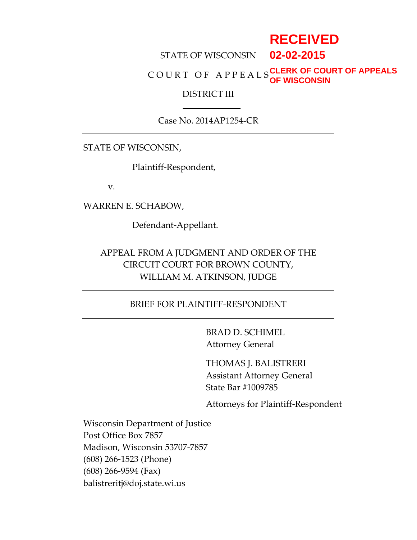# **RECEIVED**

#### STATE OF WISCONSIN **02-02-2015**

#### C O U R T O F A P P E A L S **CLERK OF COURT OF APPEALS OF WISCONSIN**

#### DISTRICT III

### Case No. 2014AP1254-CR

STATE OF WISCONSIN,

Plaintiff-Respondent,

v.

WARREN E. SCHABOW,

Defendant-Appellant.

### APPEAL FROM A JUDGMENT AND ORDER OF THE CIRCUIT COURT FOR BROWN COUNTY, WILLIAM M. ATKINSON, JUDGE

### BRIEF FOR PLAINTIFF-RESPONDENT

BRAD D. SCHIMEL Attorney General

THOMAS J. BALISTRERI Assistant Attorney General State Bar #1009785

Attorneys for Plaintiff-Respondent

Wisconsin Department of Justice Post Office Box 7857 Madison, Wisconsin 53707-7857 (608) 266-1523 (Phone) (608) 266-9594 (Fax) balistreritj@doj.state.wi.us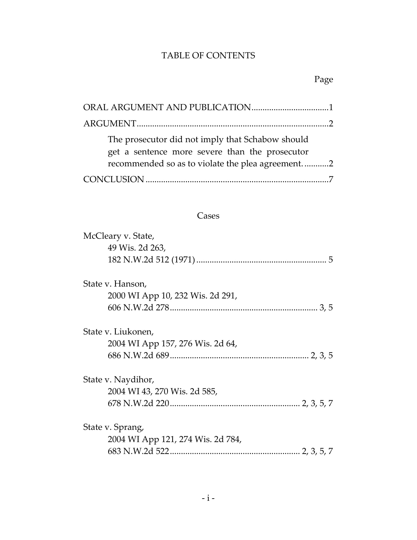## TABLE OF CONTENTS

## Page

| The prosecutor did not imply that Schabow should<br>get a sentence more severe than the prosecutor<br>recommended so as to violate the plea agreement2 |
|--------------------------------------------------------------------------------------------------------------------------------------------------------|
|                                                                                                                                                        |

### Cases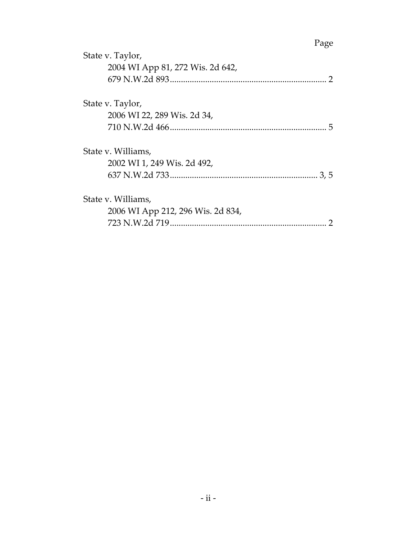## Page

| State v. Taylor,                  | 4.45c |
|-----------------------------------|-------|
| 2004 WI App 81, 272 Wis. 2d 642,  |       |
|                                   |       |
| State v. Taylor,                  |       |
| 2006 WI 22, 289 Wis. 2d 34,       |       |
|                                   | 5     |
| State v. Williams,                |       |
| 2002 WI 1, 249 Wis. 2d 492,       |       |
|                                   |       |
| State v. Williams,                |       |
| 2006 WI App 212, 296 Wis. 2d 834, |       |
|                                   |       |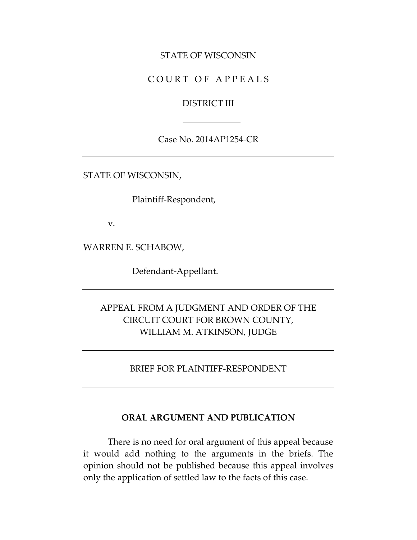#### STATE OF WISCONSIN

### COURT OF APPEALS

#### DISTRICT III

### Case No. 2014AP1254-CR

STATE OF WISCONSIN,

Plaintiff-Respondent,

v.

WARREN E. SCHABOW,

Defendant-Appellant.

### APPEAL FROM A JUDGMENT AND ORDER OF THE CIRCUIT COURT FOR BROWN COUNTY, WILLIAM M. ATKINSON, JUDGE

### BRIEF FOR PLAINTIFF-RESPONDENT

#### **ORAL ARGUMENT AND PUBLICATION**

There is no need for oral argument of this appeal because it would add nothing to the arguments in the briefs. The opinion should not be published because this appeal involves only the application of settled law to the facts of this case.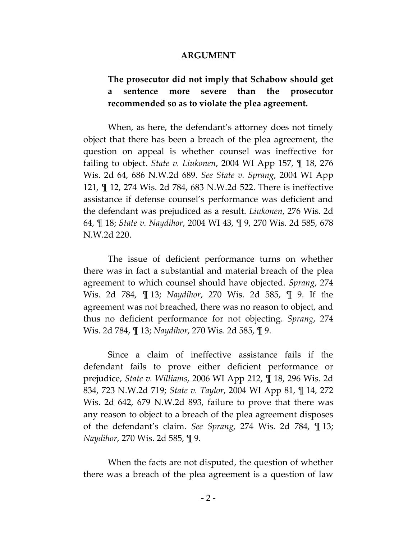#### **ARGUMENT**

### **The prosecutor did not imply that Schabow should get a sentence more severe than the prosecutor recommended so as to violate the plea agreement.**

When, as here, the defendant's attorney does not timely object that there has been a breach of the plea agreement, the question on appeal is whether counsel was ineffective for failing to object. *State v. Liukonen*, 2004 WI App 157, ¶ 18, 276 Wis. 2d 64, 686 N.W.2d 689. *See State v. Sprang*, 2004 WI App 121, ¶ 12, 274 Wis. 2d 784, 683 N.W.2d 522. There is ineffective assistance if defense counsel's performance was deficient and the defendant was prejudiced as a result. *Liukonen*, 276 Wis. 2d 64, ¶ 18; *State v. Naydihor*, 2004 WI 43, ¶ 9, 270 Wis. 2d 585, 678 N.W.2d 220.

The issue of deficient performance turns on whether there was in fact a substantial and material breach of the plea agreement to which counsel should have objected. *Sprang*, 274 Wis. 2d 784, ¶ 13; *Naydihor*, 270 Wis. 2d 585, ¶ 9. If the agreement was not breached, there was no reason to object, and thus no deficient performance for not objecting. *Sprang*, 274 Wis. 2d 784, ¶ 13; *Naydihor*, 270 Wis. 2d 585, ¶ 9.

Since a claim of ineffective assistance fails if the defendant fails to prove either deficient performance or prejudice, *State v. Williams*, 2006 WI App 212, ¶ 18, 296 Wis. 2d 834, 723 N.W.2d 719; *State v. Taylor*, 2004 WI App 81, ¶ 14, 272 Wis. 2d 642, 679 N.W.2d 893, failure to prove that there was any reason to object to a breach of the plea agreement disposes of the defendant's claim. *See Sprang*, 274 Wis. 2d 784, ¶ 13; *Naydihor*, 270 Wis. 2d 585, ¶ 9.

When the facts are not disputed, the question of whether there was a breach of the plea agreement is a question of law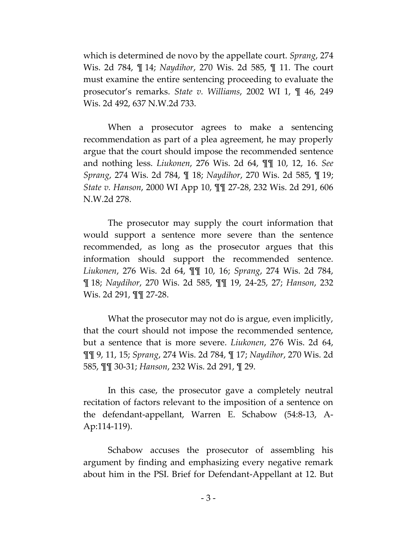which is determined de novo by the appellate court. *Sprang*, 274 Wis. 2d 784, ¶ 14; *Naydihor*, 270 Wis. 2d 585, ¶ 11. The court must examine the entire sentencing proceeding to evaluate the prosecutor's remarks. *State v. Williams*, 2002 WI 1, ¶ 46, 249 Wis. 2d 492, 637 N.W.2d 733.

When a prosecutor agrees to make a sentencing recommendation as part of a plea agreement, he may properly argue that the court should impose the recommended sentence and nothing less. *Liukonen*, 276 Wis. 2d 64, ¶¶ 10, 12, 16. *See Sprang*, 274 Wis. 2d 784, ¶ 18; *Naydihor*, 270 Wis. 2d 585, ¶ 19; *State v. Hanson*, 2000 WI App 10, ¶¶ 27-28, 232 Wis. 2d 291, 606 N.W.2d 278.

The prosecutor may supply the court information that would support a sentence more severe than the sentence recommended, as long as the prosecutor argues that this information should support the recommended sentence. *Liukonen*, 276 Wis. 2d 64, ¶¶ 10, 16; *Sprang*, 274 Wis. 2d 784, ¶ 18; *Naydihor*, 270 Wis. 2d 585, ¶¶ 19, 24-25, 27; *Hanson*, 232 Wis. 2d 291, ¶¶ 27-28.

What the prosecutor may not do is argue, even implicitly, that the court should not impose the recommended sentence, but a sentence that is more severe. *Liukonen*, 276 Wis. 2d 64, ¶¶ 9, 11, 15; *Sprang*, 274 Wis. 2d 784, ¶ 17; *Naydihor*, 270 Wis. 2d 585, ¶¶ 30-31; *Hanson*, 232 Wis. 2d 291, ¶ 29.

In this case, the prosecutor gave a completely neutral recitation of factors relevant to the imposition of a sentence on the defendant-appellant, Warren E. Schabow (54:8-13, A-Ap:114-119).

Schabow accuses the prosecutor of assembling his argument by finding and emphasizing every negative remark about him in the PSI. Brief for Defendant-Appellant at 12. But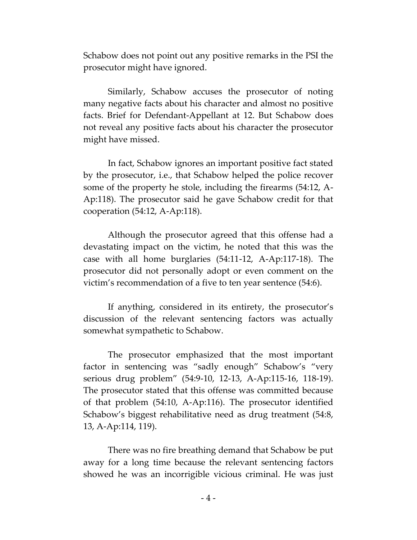Schabow does not point out any positive remarks in the PSI the prosecutor might have ignored.

Similarly, Schabow accuses the prosecutor of noting many negative facts about his character and almost no positive facts. Brief for Defendant-Appellant at 12. But Schabow does not reveal any positive facts about his character the prosecutor might have missed.

In fact, Schabow ignores an important positive fact stated by the prosecutor, i.e., that Schabow helped the police recover some of the property he stole, including the firearms (54:12, A-Ap:118). The prosecutor said he gave Schabow credit for that cooperation (54:12, A-Ap:118).

Although the prosecutor agreed that this offense had a devastating impact on the victim, he noted that this was the case with all home burglaries (54:11-12, A-Ap:117-18). The prosecutor did not personally adopt or even comment on the victim's recommendation of a five to ten year sentence (54:6).

If anything, considered in its entirety, the prosecutor's discussion of the relevant sentencing factors was actually somewhat sympathetic to Schabow.

The prosecutor emphasized that the most important factor in sentencing was "sadly enough" Schabow's "very serious drug problem" (54:9-10, 12-13, A-Ap:115-16, 118-19). The prosecutor stated that this offense was committed because of that problem (54:10, A-Ap:116). The prosecutor identified Schabow's biggest rehabilitative need as drug treatment (54:8, 13, A-Ap:114, 119).

There was no fire breathing demand that Schabow be put away for a long time because the relevant sentencing factors showed he was an incorrigible vicious criminal. He was just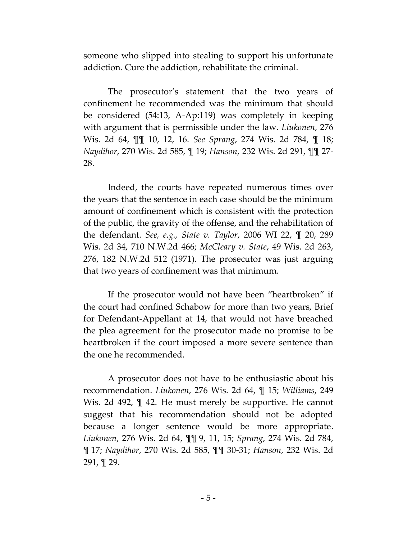someone who slipped into stealing to support his unfortunate addiction. Cure the addiction, rehabilitate the criminal.

The prosecutor's statement that the two years of confinement he recommended was the minimum that should be considered (54:13, A-Ap:119) was completely in keeping with argument that is permissible under the law. *Liukonen*, 276 Wis. 2d 64, ¶¶ 10, 12, 16. *See Sprang*, 274 Wis. 2d 784, ¶ 18; *Naydihor*, 270 Wis. 2d 585, ¶ 19; *Hanson*, 232 Wis. 2d 291, ¶¶ 27- 28.

Indeed, the courts have repeated numerous times over the years that the sentence in each case should be the minimum amount of confinement which is consistent with the protection of the public, the gravity of the offense, and the rehabilitation of the defendant. *See, e.g., State v. Taylor*, 2006 WI 22, ¶ 20, 289 Wis. 2d 34, 710 N.W.2d 466; *McCleary v. State*, 49 Wis. 2d 263, 276, 182 N.W.2d 512 (1971). The prosecutor was just arguing that two years of confinement was that minimum.

If the prosecutor would not have been "heartbroken" if the court had confined Schabow for more than two years, Brief for Defendant-Appellant at 14, that would not have breached the plea agreement for the prosecutor made no promise to be heartbroken if the court imposed a more severe sentence than the one he recommended.

A prosecutor does not have to be enthusiastic about his recommendation. *Liukonen*, 276 Wis. 2d 64, ¶ 15; *Williams*, 249 Wis. 2d 492, ¶ 42. He must merely be supportive. He cannot suggest that his recommendation should not be adopted because a longer sentence would be more appropriate. *Liukonen*, 276 Wis. 2d 64, ¶¶ 9, 11, 15; *Sprang*, 274 Wis. 2d 784, ¶ 17; *Naydihor*, 270 Wis. 2d 585, ¶¶ 30-31; *Hanson*, 232 Wis. 2d 291, ¶ 29.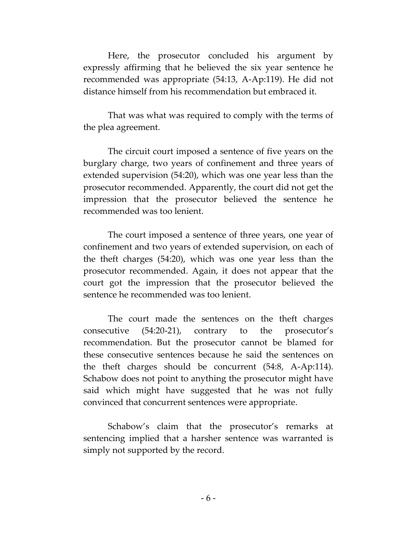Here, the prosecutor concluded his argument by expressly affirming that he believed the six year sentence he recommended was appropriate (54:13, A-Ap:119). He did not distance himself from his recommendation but embraced it.

That was what was required to comply with the terms of the plea agreement.

The circuit court imposed a sentence of five years on the burglary charge, two years of confinement and three years of extended supervision (54:20), which was one year less than the prosecutor recommended. Apparently, the court did not get the impression that the prosecutor believed the sentence he recommended was too lenient.

The court imposed a sentence of three years, one year of confinement and two years of extended supervision, on each of the theft charges (54:20), which was one year less than the prosecutor recommended. Again, it does not appear that the court got the impression that the prosecutor believed the sentence he recommended was too lenient.

The court made the sentences on the theft charges consecutive (54:20-21), contrary to the prosecutor's recommendation. But the prosecutor cannot be blamed for these consecutive sentences because he said the sentences on the theft charges should be concurrent (54:8, A-Ap:114). Schabow does not point to anything the prosecutor might have said which might have suggested that he was not fully convinced that concurrent sentences were appropriate.

Schabow's claim that the prosecutor's remarks at sentencing implied that a harsher sentence was warranted is simply not supported by the record.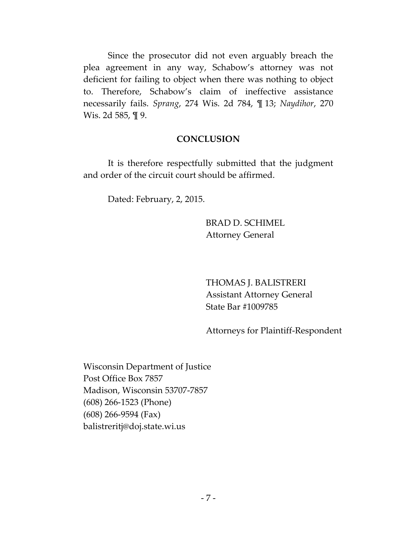Since the prosecutor did not even arguably breach the plea agreement in any way, Schabow's attorney was not deficient for failing to object when there was nothing to object to. Therefore, Schabow's claim of ineffective assistance necessarily fails. *Sprang*, 274 Wis. 2d 784, ¶ 13; *Naydihor*, 270 Wis. 2d 585, ¶ 9.

### **CONCLUSION**

It is therefore respectfully submitted that the judgment and order of the circuit court should be affirmed.

Dated: February, 2, 2015.

BRAD D. SCHIMEL Attorney General

THOMAS J. BALISTRERI Assistant Attorney General State Bar #1009785

Attorneys for Plaintiff-Respondent

Wisconsin Department of Justice Post Office Box 7857 Madison, Wisconsin 53707-7857 (608) 266-1523 (Phone) (608) 266-9594 (Fax) balistreritj@doj.state.wi.us